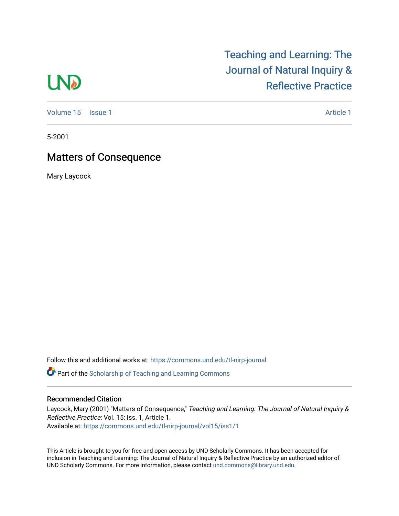## **LND**

[Volume 15](https://commons.und.edu/tl-nirp-journal/vol15) | [Issue 1](https://commons.und.edu/tl-nirp-journal/vol15/iss1) Article 1

[Teaching and Learning: The](https://commons.und.edu/tl-nirp-journal) 

[Journal of Natural Inquiry &](https://commons.und.edu/tl-nirp-journal) 

[Reflective Practice](https://commons.und.edu/tl-nirp-journal) 

5-2001

## Matters of Consequence

Mary Laycock

Follow this and additional works at: [https://commons.und.edu/tl-nirp-journal](https://commons.und.edu/tl-nirp-journal?utm_source=commons.und.edu%2Ftl-nirp-journal%2Fvol15%2Fiss1%2F1&utm_medium=PDF&utm_campaign=PDFCoverPages) 

**C** Part of the Scholarship of Teaching and Learning Commons

## Recommended Citation

Laycock, Mary (2001) "Matters of Consequence," Teaching and Learning: The Journal of Natural Inquiry & Reflective Practice: Vol. 15: Iss. 1, Article 1. Available at: [https://commons.und.edu/tl-nirp-journal/vol15/iss1/1](https://commons.und.edu/tl-nirp-journal/vol15/iss1/1?utm_source=commons.und.edu%2Ftl-nirp-journal%2Fvol15%2Fiss1%2F1&utm_medium=PDF&utm_campaign=PDFCoverPages) 

This Article is brought to you for free and open access by UND Scholarly Commons. It has been accepted for inclusion in Teaching and Learning: The Journal of Natural Inquiry & Reflective Practice by an authorized editor of UND Scholarly Commons. For more information, please contact [und.commons@library.und.edu.](mailto:und.commons@library.und.edu)